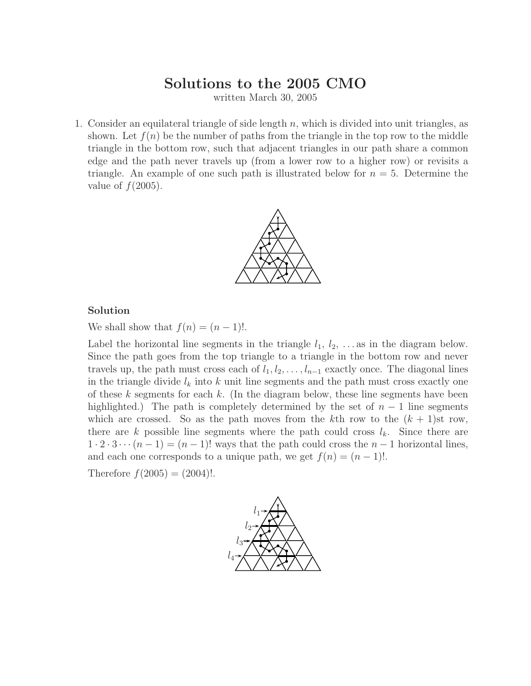# **Solutions to the 2005 CMO**

written March 30, 2005

1. Consider an equilateral triangle of side length  $n$ , which is divided into unit triangles, as shown. Let  $f(n)$  be the number of paths from the triangle in the top row to the middle triangle in the bottom row, such that adjacent triangles in our path share a common edge and the path never travels up (froma lower row to a higher row) or revisits a triangle. An example of one such path is illustrated below for  $n = 5$ . Determine the value of  $f(2005)$ .



### **Solution**

We shall show that  $f(n)=(n-1)!$ .

Label the horizontal line segments in the triangle  $l_1, l_2, \ldots$  as in the diagram below. Since the path goes from the top triangle to a triangle in the bottom row and never travels up, the path must cross each of  $l_1, l_2, \ldots, l_{n-1}$  exactly once. The diagonal lines in the triangle divide  $l_k$  into k unit line segments and the path must cross exactly one of these  $k$  segments for each  $k$ . (In the diagram below, these line segments have been highlighted.) The path is completely determined by the set of  $n-1$  line segments which are crossed. So as the path moves from the kth row to the  $(k + 1)$ st row, there are k possible line segments where the path could cross  $l_k$ . Since there are  $1 \cdot 2 \cdot 3 \cdots (n-1) = (n-1)!$  ways that the path could cross the  $n-1$  horizontal lines, and each one corresponds to a unique path, we get  $f(n)=(n - 1)!$ .

Therefore  $f(2005) = (2004)!$ .

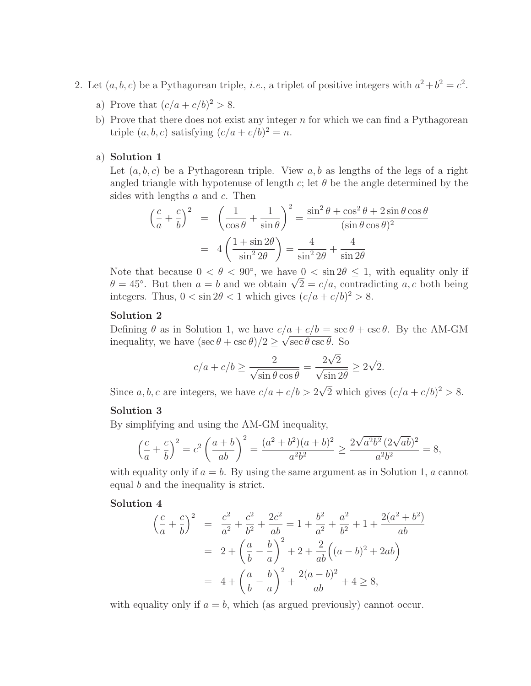- 2. Let  $(a, b, c)$  be a Pythagorean triple, *i.e.*, a triplet of positive integers with  $a^2 + b^2 = c^2$ .
	- a) Prove that  $(c/a + c/b)^2 > 8$ .
	- b) Prove that there does not exist any integer  $n$  for which we can find a Pythagorean triple  $(a, b, c)$  satisfying  $(c/a + c/b)^2 = n$ .

## a) **Solution 1**

Let  $(a, b, c)$  be a Pythagorean triple. View  $a, b$  as lengths of the legs of a right angled triangle with hypotenuse of length c; let  $\theta$  be the angle determined by the sides with lengths  $a$  and  $c$ . Then

$$
\left(\frac{c}{a} + \frac{c}{b}\right)^2 = \left(\frac{1}{\cos\theta} + \frac{1}{\sin\theta}\right)^2 = \frac{\sin^2\theta + \cos^2\theta + 2\sin\theta\cos\theta}{(\sin\theta\cos\theta)^2}
$$

$$
= 4\left(\frac{1 + \sin 2\theta}{\sin^2 2\theta}\right) = \frac{4}{\sin^2 2\theta} + \frac{4}{\sin 2\theta}
$$

Note that because  $0 < \theta < 90^{\circ}$ , we have  $0 < \sin 2\theta < 1$ , with equality only if  $\theta = 45^\circ$ . But then  $a = b$  and we obtain  $\sqrt{2} = c/a$ , contradicting a, c both being integers. Thus,  $0 < \sin 2\theta < 1$  which gives  $(c/a + c/b)^2 > 8$ .

# **Solution 2**

Defining  $\theta$  as in Solution 1, we have  $c/a + c/b = \sec \theta + \csc \theta$ . By the AM-GM inequality, we have  $(\sec \theta + \csc \theta)/2 \ge \sqrt{\sec \theta \csc \theta}$ . So

$$
c/a + c/b \ge \frac{2}{\sqrt{\sin \theta \cos \theta}} = \frac{2\sqrt{2}}{\sqrt{\sin 2\theta}} \ge 2\sqrt{2}.
$$

Since a, b, c are integers, we have  $c/a + c/b > 2\sqrt{2}$  which gives  $(c/a + c/b)^2 > 8$ .

## **Solution 3**

By simplifying and using the AM-GM inequality,

$$
\left(\frac{c}{a} + \frac{c}{b}\right)^2 = c^2 \left(\frac{a+b}{ab}\right)^2 = \frac{(a^2 + b^2)(a+b)^2}{a^2b^2} \ge \frac{2\sqrt{a^2b^2}(2\sqrt{ab})^2}{a^2b^2} = 8,
$$

with equality only if  $a = b$ . By using the same argument as in Solution 1, a cannot equal b and the inequality is strict.

#### **Solution 4**

$$
\left(\frac{c}{a} + \frac{c}{b}\right)^2 = \frac{c^2}{a^2} + \frac{c^2}{b^2} + \frac{2c^2}{ab} = 1 + \frac{b^2}{a^2} + \frac{a^2}{b^2} + 1 + \frac{2(a^2 + b^2)}{ab}
$$

$$
= 2 + \left(\frac{a}{b} - \frac{b}{a}\right)^2 + 2 + \frac{2}{ab}\left((a - b)^2 + 2ab\right)
$$

$$
= 4 + \left(\frac{a}{b} - \frac{b}{a}\right)^2 + \frac{2(a - b)^2}{ab} + 4 \ge 8,
$$

with equality only if  $a = b$ , which (as argued previously) cannot occur.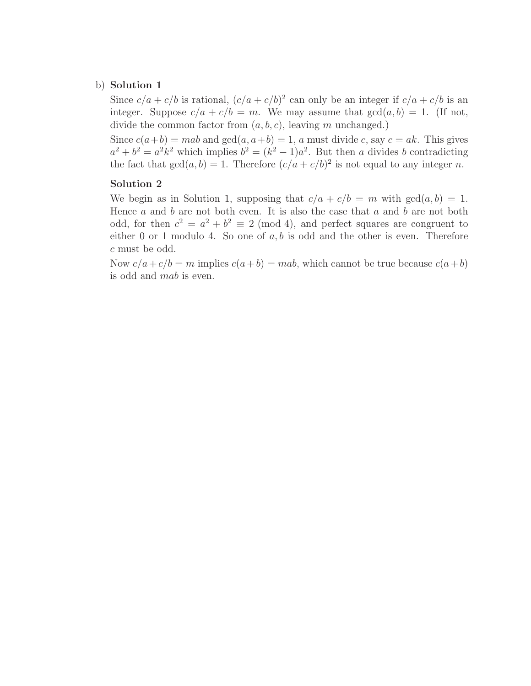## b) **Solution 1**

Since  $c/a + c/b$  is rational,  $(c/a + c/b)^2$  can only be an integer if  $c/a + c/b$  is an integer. Suppose  $c/a + c/b = m$ . We may assume that  $gcd(a, b) = 1$ . (If not, divide the common factor from  $(a, b, c)$ , leaving m unchanged.)

Since  $c(a+b) = mab$  and  $gcd(a, a+b) = 1$ , a must divide c, say  $c = ak$ . This gives  $a^2 + b^2 = a^2k^2$  which implies  $b^2 = (k^2 - 1)a^2$ . But then a divides b contradicting the fact that  $gcd(a, b) = 1$ . Therefore  $(c/a + c/b)^2$  is not equal to any integer n.

## **Solution 2**

We begin as in Solution 1, supposing that  $c/a + c/b = m$  with  $gcd(a, b) = 1$ . Hence  $a$  and  $b$  are not both even. It is also the case that  $a$  and  $b$  are not both odd, for then  $c^2 = a^2 + b^2 \equiv 2 \pmod{4}$ , and perfect squares are congruent to either 0 or 1 modulo 4. So one of  $a, b$  is odd and the other is even. Therefore c must be odd.

Now  $c/a + c/b = m$  implies  $c(a+b) = mab$ , which cannot be true because  $c(a+b)$ is odd and mab is even.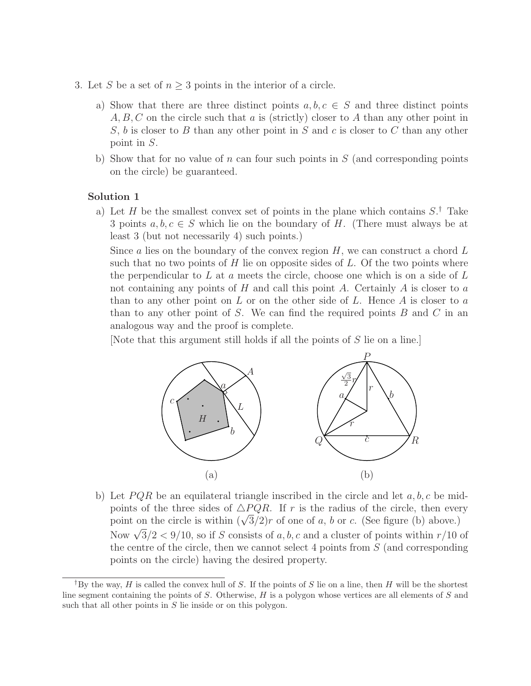- 3. Let S be a set of  $n \geq 3$  points in the interior of a circle.
	- a) Show that there are three distinct points  $a, b, c \in S$  and three distinct points  $A, B, C$  on the circle such that a is (strictly) closer to A than any other point in S, b is closer to B than any other point in S and c is closer to C than any other point in S.
	- b) Show that for no value of n can four such points in  $S$  (and corresponding points on the circle) be guaranteed.

a) Let H be the smallest convex set of points in the plane which contains  $S^{\dagger}$ . Take 3 points  $a, b, c \in S$  which lie on the boundary of H. (There must always be at least 3 (but not necessarily 4) such points.)

Since a lies on the boundary of the convex region  $H$ , we can construct a chord  $L$ such that no two points of  $H$  lie on opposite sides of  $L$ . Of the two points where the perpendicular to  $L$  at  $a$  meets the circle, choose one which is on a side of  $L$ not containing any points of  $H$  and call this point  $A$ . Certainly  $A$  is closer to  $a$ than to any other point on  $L$  or on the other side of  $L$ . Hence  $A$  is closer to  $a$ than to any other point of S. We can find the required points  $B$  and  $C$  in an analogous way and the proof is complete.

[Note that this argument still holds if all the points of S lie on a line.]



b) Let  $PQR$  be an equilateral triangle inscribed in the circle and let  $a, b, c$  be midpoints of the three sides of  $\triangle PQR$ . If r is the radius of the circle, then every point on the circle is within  $(\sqrt{3}/2)r$  of one of a, b or c. (See figure (b) above.) Now  $\sqrt{3}/2 < 9/10$ , so if S consists of a, b, c and a cluster of points within r/10 of the centre of the circle, then we cannot select 4 points from  $S$  (and corresponding points on the circle) having the desired property.

*<sup>†</sup>*By the way, *H* is called the convex hull of *S*. If the points of *S* lie on a line, then *H* will be the shortest line segment containing the points of *S*. Otherwise, *H* is a polygon whose vertices are all elements of *S* and such that all other points in *S* lie inside or on this polygon.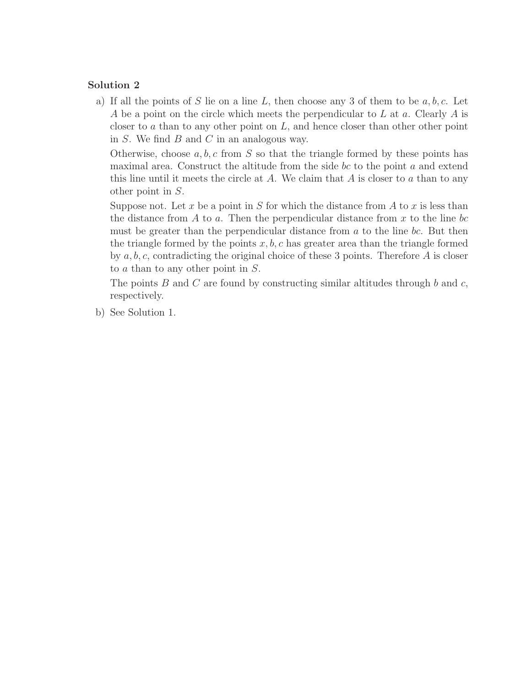a) If all the points of S lie on a line L, then choose any 3 of them to be  $a, b, c$ . Let A be a point on the circle which meets the perpendicular to  $L$  at  $a$ . Clearly  $A$  is closer to a than to any other point on  $L$ , and hence closer than other other point in  $S$ . We find  $B$  and  $C$  in an analogous way.

Otherwise, choose  $a, b, c$  from S so that the triangle formed by these points has maximal area. Construct the altitude from the side bc to the point  $a$  and extend this line until it meets the circle at  $A$ . We claim that  $A$  is closer to  $a$  than to any other point in S.

Suppose not. Let x be a point in S for which the distance from A to x is less than the distance from  $A$  to  $a$ . Then the perpendicular distance from  $x$  to the line bc must be greater than the perpendicular distance from  $a$  to the line  $bc$ . But then the triangle formed by the points  $x, b, c$  has greater area than the triangle formed by  $a, b, c$ , contradicting the original choice of these 3 points. Therefore  $A$  is closer to a than to any other point in S.

The points B and C are found by constructing similar altitudes through b and c, respectively.

b) See Solution 1.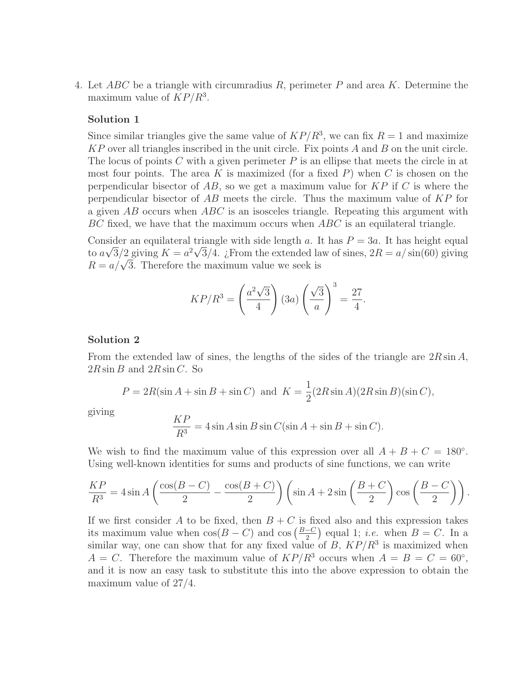4. Let  $ABC$  be a triangle with circumradius R, perimeter P and area K. Determine the maximum value of  $KP/R^3$ .

## **Solution 1**

Since similar triangles give the same value of  $KP/R^3$ , we can fix  $R = 1$  and maximize  $KP$  over all triangles inscribed in the unit circle. Fix points A and B on the unit circle. The locus of points  $C$  with a given perimeter  $P$  is an ellipse that meets the circle in at most four points. The area  $K$  is maximized (for a fixed  $P$ ) when  $C$  is chosen on the perpendicular bisector of  $AB$ , so we get a maximum value for  $KP$  if C is where the perpendicular bisector of AB meets the circle. Thus the maximum value of KP for a given  $AB$  occurs when  $ABC$  is an isosceles triangle. Repeating this argument with  $BC$  fixed, we have that the maximum occurs when  $ABC$  is an equilateral triangle.

Consider an equilateral triangle with side length a. It has  $P = 3a$ . It has height equal to  $a\sqrt{3}/2$  giving  $K = a^2\sqrt{3}/4$ . ¿From the extended law of sines,  $2R = a/\sin(60)$  giving  $R = a/\sqrt{3}$ . Therefore the maximum value we seek is

$$
KP/R^{3} = \left(\frac{a^{2}\sqrt{3}}{4}\right)(3a)\left(\frac{\sqrt{3}}{a}\right)^{3} = \frac{27}{4}.
$$

#### **Solution 2**

From the extended law of sines, the lengths of the sides of the triangle are  $2R\sin A$ ,  $2R \sin B$  and  $2R \sin C$ . So

$$
P = 2R(\sin A + \sin B + \sin C) \text{ and } K = \frac{1}{2}(2R\sin A)(2R\sin B)(\sin C),
$$

giving

$$
\frac{KP}{R^3} = 4\sin A \sin B \sin C (\sin A + \sin B + \sin C).
$$

We wish to find the maximum value of this expression over all  $A + B + C = 180^{\circ}$ . Using well-known identities for sums and products of sine functions, we can write

$$
\frac{KP}{R^3} = 4\sin A \left(\frac{\cos(B-C)}{2} - \frac{\cos(B+C)}{2}\right) \left(\sin A + 2\sin\left(\frac{B+C}{2}\right)\cos\left(\frac{B-C}{2}\right)\right).
$$

If we first consider A to be fixed, then  $B + C$  is fixed also and this expression takes its maximum value when  $cos(B - C)$  and  $cos(\frac{B-C}{2})$  equal 1; *i.e.* when  $B = C$ . In a similar way, one can show that for any fixed value of  $B, K^2/R^3$  is maximized when  $A = C$ . Therefore the maximum value of  $KP/R^3$  occurs when  $A = B = C = 60^{\circ}$ , and it is now an easy task to substitute this into the above expression to obtain the maximum value of 27/4.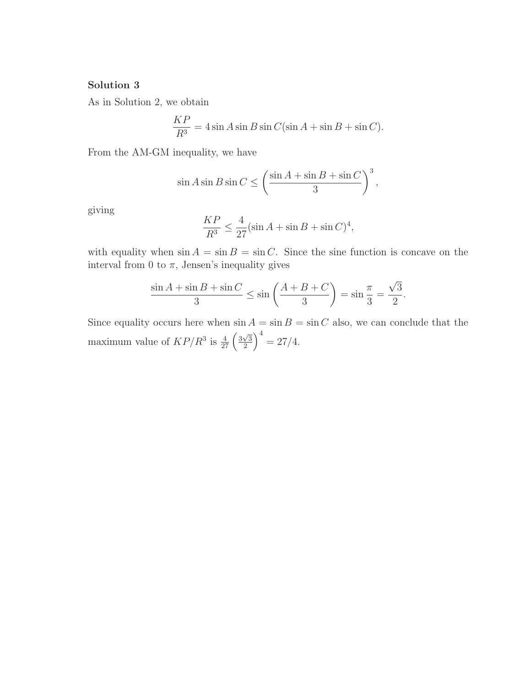As in Solution 2, we obtain

$$
\frac{KP}{R^3} = 4\sin A \sin B \sin C (\sin A + \sin B + \sin C).
$$

From the AM-GM inequality, we have

$$
\sin A \sin B \sin C \le \left(\frac{\sin A + \sin B + \sin C}{3}\right)^3,
$$

giving

$$
\frac{KP}{R^3} \le \frac{4}{27} (\sin A + \sin B + \sin C)^4,
$$

with equality when  $\sin A = \sin B = \sin C$ . Since the sine function is concave on the interval from 0 to  $\pi,$  Jensen's inequality gives

$$
\frac{\sin A + \sin B + \sin C}{3} \le \sin \left( \frac{A + B + C}{3} \right) = \sin \frac{\pi}{3} = \frac{\sqrt{3}}{2}.
$$

Since equality occurs here when  $\sin A = \sin B = \sin C$  also, we can conclude that the maximum value of  $KP/R^3$  is  $\frac{4}{27}\left(\frac{3\sqrt{3}}{2}\right)$  $\frac{\sqrt{3}}{2}$  and  $\left(\frac{27}{4}\right)^4$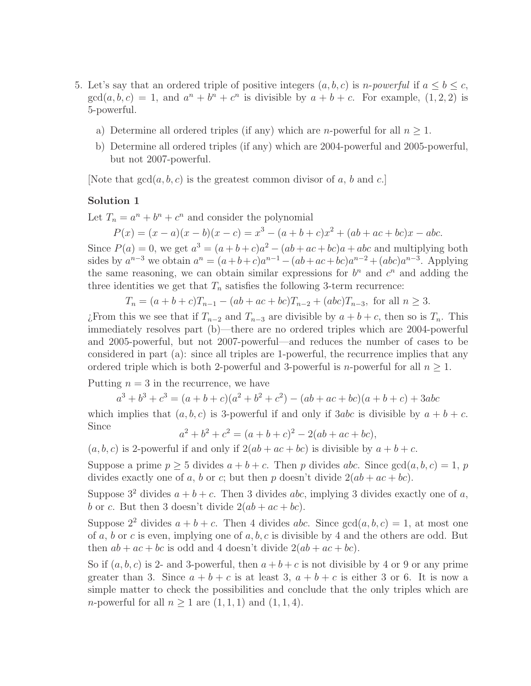- 5. Let's say that an ordered triple of positive integers  $(a, b, c)$  is *n-powerful* if  $a \le b \le c$ ,  $gcd(a, b, c) = 1$ , and  $a^n + b^n + c^n$  is divisible by  $a + b + c$ . For example,  $(1, 2, 2)$  is 5-powerful.
	- a) Determine all ordered triples (if any) which are *n*-powerful for all  $n \geq 1$ .
	- b) Determine all ordered triples (if any) which are 2004-powerful and 2005-powerful, but not 2007-powerful.

[Note that  $gcd(a, b, c)$  is the greatest common divisor of a, b and c.]

# **Solution 1**

Let  $T_n = a^n + b^n + c^n$  and consider the polynomial

 $P(x)=(x - a)(x - b)(x - c) = x^{3} - (a + b + c)x^{2} + (ab + ac + bc)x - abc.$ 

Since  $P(a) = 0$ , we get  $a^3 = (a+b+c)a^2 - (ab+ac+bc)a + abc$  and multiplying both sides by  $a^{n-3}$  we obtain  $a^n = (a+b+c)a^{n-1} - (ab+ac+bc)a^{n-2} + (abc)a^{n-3}$ . Applying the same reasoning, we can obtain similar expressions for  $b^n$  and  $c^n$  and adding the three identities we get that  $T_n$  satisfies the following 3-term recurrence:

$$
T_n = (a+b+c)T_{n-1} - (ab+ac+bc)T_{n-2} + (abc)T_{n-3},
$$
 for all  $n \ge 3$ .

*i*. From this we see that if  $T_{n-2}$  and  $T_{n-3}$  are divisible by  $a + b + c$ , then so is  $T_n$ . This immediately resolves part (b)—there are no ordered triples which are 2004-powerful and 2005-powerful, but not 2007-powerful—and reduces the number of cases to be considered in part (a): since all triples are 1-powerful, the recurrence implies that any ordered triple which is both 2-powerful and 3-powerful is *n*-powerful for all  $n \geq 1$ .

Putting  $n = 3$  in the recurrence, we have

$$
a^3 + b^3 + c^3 = (a + b + c)(a^2 + b^2 + c^2) - (ab + ac + bc)(a + b + c) + 3abc
$$

which implies that  $(a, b, c)$  is 3-powerful if and only if 3abc is divisible by  $a + b + c$ . Since

$$
a^2 + b^2 + c^2 = (a + b + c)^2 - 2(ab + ac + bc),
$$

 $(a, b, c)$  is 2-powerful if and only if  $2(ab + ac + bc)$  is divisible by  $a + b + c$ .

Suppose a prime  $p \geq 5$  divides  $a + b + c$ . Then p divides abc. Since  $gcd(a, b, c) = 1$ , p divides exactly one of a, b or c; but then p doesn't divide  $2(ab + ac + bc)$ .

Suppose  $3^2$  divides  $a + b + c$ . Then 3 divides abc, implying 3 divides exactly one of a, b or c. But then 3 doesn't divide  $2(ab + ac + bc)$ .

Suppose  $2^2$  divides  $a + b + c$ . Then 4 divides abc. Since  $gcd(a, b, c) = 1$ , at most one of a, b or c is even, implying one of  $a, b, c$  is divisible by 4 and the others are odd. But then  $ab + ac + bc$  is odd and 4 doesn't divide  $2(ab + ac + bc)$ .

So if  $(a, b, c)$  is 2- and 3-powerful, then  $a + b + c$  is not divisible by 4 or 9 or any prime greater than 3. Since  $a + b + c$  is at least 3,  $a + b + c$  is either 3 or 6. It is now a simple matter to check the possibilities and conclude that the only triples which are *n*-powerful for all  $n \geq 1$  are  $(1, 1, 1)$  and  $(1, 1, 4)$ .